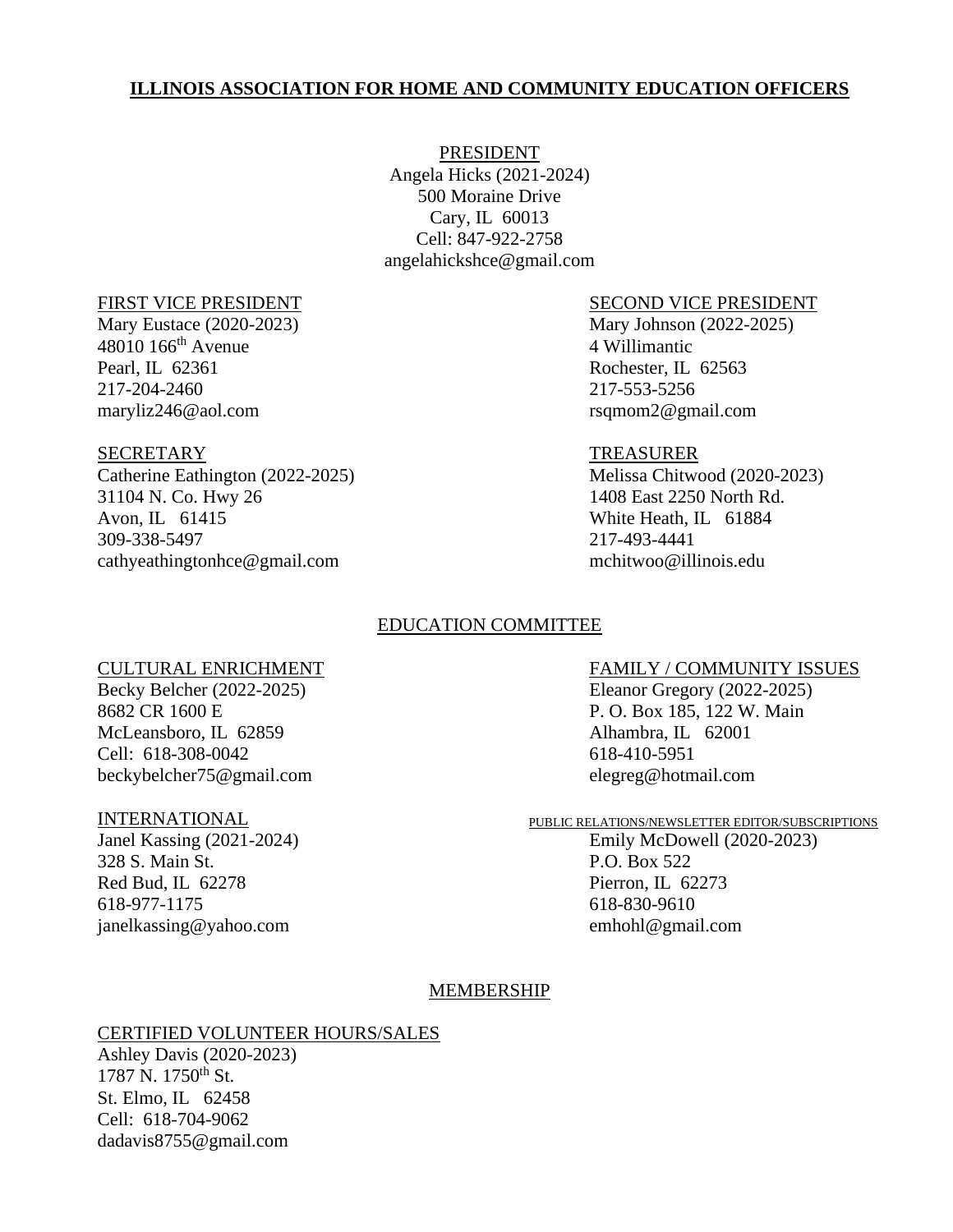# **ILLINOIS ASSOCIATION FOR HOME AND COMMUNITY EDUCATION OFFICERS**

PRESIDENT Angela Hicks (2021-2024) 500 Moraine Drive Cary, IL 60013 Cell: 847-922-2758 angelahickshce@gmail.com

48010 166th Avenue 4 Willimantic Pearl, IL 62361 Rochester, IL 62563 217-204-2460 217-553-5256 maryliz246@aol.com rsqmom2@gmail.com

## SECRETARY TREASURER

Catherine Eathington (2022-2025) Melissa Chitwood (2020-2023) 31104 N. Co. Hwy 26 1408 East 2250 North Rd. Avon, IL 61415 White Heath, IL 61884 309-338-5497 217-493-4441 cathyeathingtonhce@gmail.com mchitwoo@illinois.edu

# FIRST VICE PRESIDENT SECOND VICE PRESIDENT

Mary Eustace (2020-2023) Mary Johnson (2022-2025)

# EDUCATION COMMITTEE

8682 CR 1600 E P.O. Box 185, 122 W. Main McLeansboro, IL 62859 Alhambra, IL 62001 Cell: 618-308-0042 618-410-5951 beckybelcher75@gmail.com elegreg@hotmail.com

Janel Kassing (2021-2024) Emily McDowell (2020-2023) 328 S. Main St. P.O. Box 522 Red Bud, IL 62278 Pierron, IL 62273 618-977-1175 618-830-9610 janelkassing@yahoo.com emhohl@gmail.com

### CULTURAL ENRICHMENT FAMILY / COMMUNITY ISSUES

Becky Belcher (2022-2025) Eleanor Gregory (2022-2025)

# INTERNATIONAL PUBLIC RELATIONS/NEWSLETTER EDITOR/SUBSCRIPTIONS

### MEMBERSHIP

### CERTIFIED VOLUNTEER HOURS/SALES

Ashley Davis (2020-2023)  $1787$  N.  $1750$ <sup>th</sup> St. St. Elmo, IL 62458 Cell: 618-704-9062 dadavis8755@gmail.com